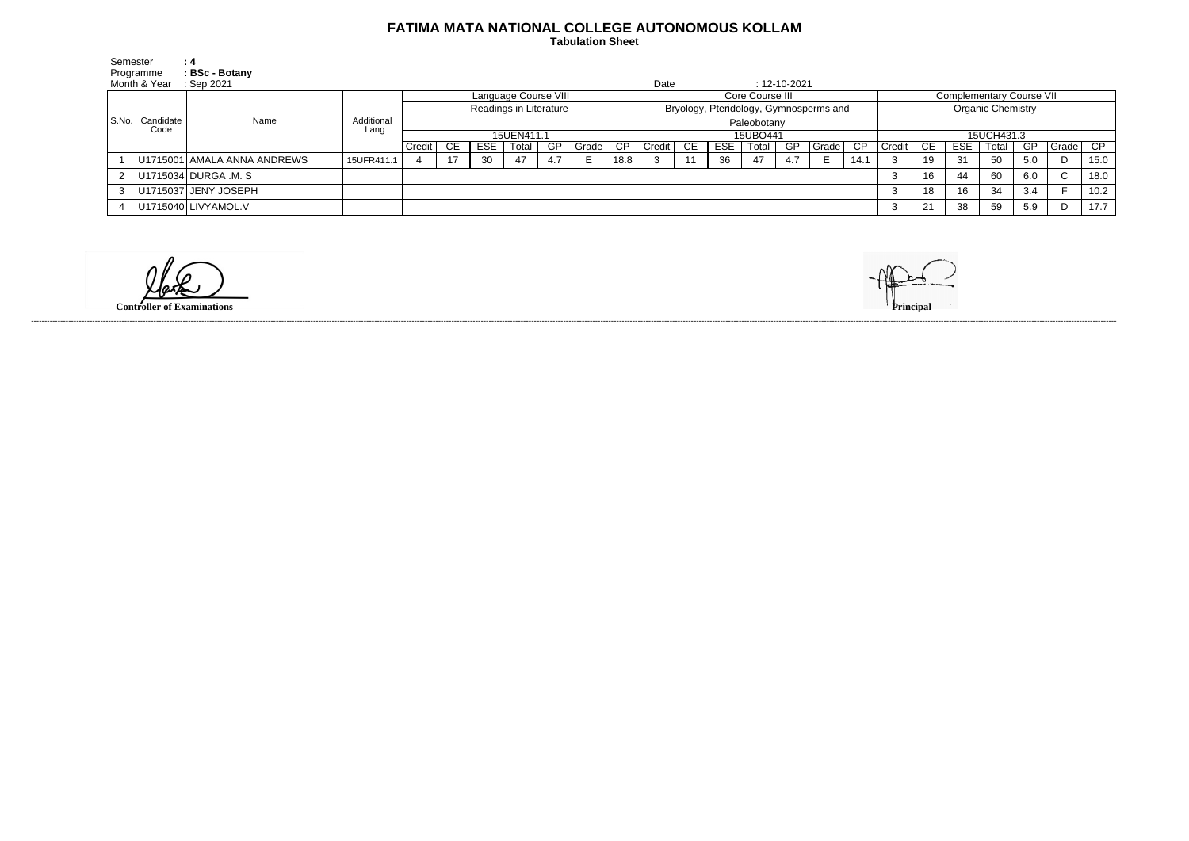## **FATIMA MATA NATIONAL COLLEGE AUTONOMOUS KOLLAM**

 **Tabulation Sheet** 

| Semester |                             | : 4                         |                    |                        |     |     |         |     |       |                                        |             |     |            |                    |     |                          |                                 |        |      |            |       |           |              |      |
|----------|-----------------------------|-----------------------------|--------------------|------------------------|-----|-----|---------|-----|-------|----------------------------------------|-------------|-----|------------|--------------------|-----|--------------------------|---------------------------------|--------|------|------------|-------|-----------|--------------|------|
|          | Programme                   | BSc - Botany                |                    |                        |     |     |         |     |       |                                        |             |     |            |                    |     |                          |                                 |        |      |            |       |           |              |      |
|          | Month & Year                | $\therefore$ Sep 2021       |                    |                        |     |     |         |     |       | Date                                   |             |     |            | $: 12 - 10 - 2021$ |     |                          |                                 |        |      |            |       |           |              |      |
|          |                             | Name                        | Additional<br>Lang | Language Course VIII   |     |     |         |     |       | Core Course III                        |             |     |            |                    |     |                          | <b>Complementary Course VII</b> |        |      |            |       |           |              |      |
|          |                             |                             |                    | Readings in Literature |     |     |         |     |       | Bryology, Pteridology, Gymnosperms and |             |     |            |                    |     | <b>Organic Chemistry</b> |                                 |        |      |            |       |           |              |      |
|          | S.No.   Candidate  <br>Code |                             |                    |                        |     |     |         |     |       |                                        | Paleobotany |     |            |                    |     |                          |                                 |        |      |            |       |           |              |      |
|          |                             |                             |                    | 15UEN411.1             |     |     |         |     |       | 15UBO441                               |             |     |            |                    |     |                          | 15UCH431.3                      |        |      |            |       |           |              |      |
|          |                             |                             |                    | Credit                 | CE. | ESE | Total I | GP  | Grade | $\overline{CP}$                        | Credit      | CE. | <b>ESE</b> | Total              | GP. | l Grade I                | CP                              | Credit | - CE | <b>ESE</b> | Total | <b>GP</b> | Grade        | CP   |
|          |                             | U1715001 AMALA ANNA ANDREWS | 15UFR411.1         |                        |     | 30  | 47      | 4.7 |       | 18.8                                   |             | 11  | 36         | 47                 | 4.7 | E.                       | 14.1                            |        | 19   | 31         | 50    | 5.0       |              | 15.0 |
| 2        |                             | U1715034 DURGA .M. S        |                    |                        |     |     |         |     |       |                                        |             |     |            |                    |     |                          |                                 |        | 16   | 44         | 60    | 6.0       | $\mathsf{C}$ | 18.0 |
| 3        |                             | U1715037 JENY JOSEPH        |                    |                        |     |     |         |     |       |                                        |             |     |            |                    |     |                          |                                 | 3      | 18   | 16         | 34    | 3.4       |              | 10.2 |
|          |                             | U1715040 LIVYAMOL.V         |                    |                        |     |     |         |     |       |                                        |             |     |            |                    |     |                          |                                 |        | 21   | 38         | 59    | 5.9       | D            | 17.7 |

**Controller of Examinations** 



------------------------------------------------------------------------------------------------------------------------------------------------------------------------------------------------------------------------------------------------------------------------------------------------------------------------------------------------------------------------------------------------------------------------